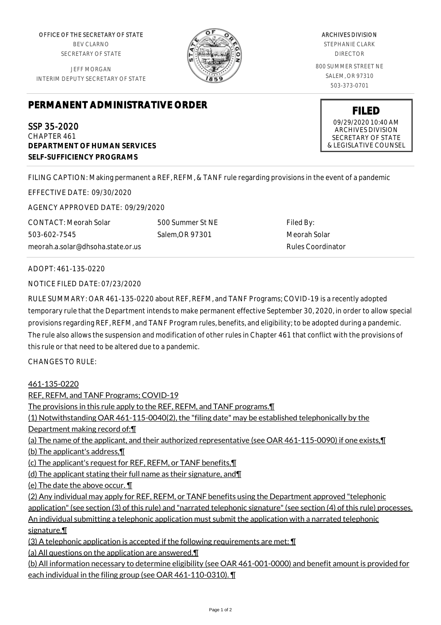OFFICE OF THE SECRETARY OF STATE BEV CLARNO SECRETARY OF STATE

JEFF MORGAN INTERIM DEPUTY SECRETARY OF STATE



ARCHIVES DIVISION STEPHANIE CLARK DIRECTOR 800 SUMMER STREET NE SALEM, OR 97310 503-373-0701

> **FILED** 09/29/2020 10:40 AM ARCHIVES DIVISION SECRETARY OF STATE & LEGISLATIVE COUNSEL

## **PERMANENT ADMINISTRATIVE ORDER**

SSP 35-2020 CHAPTER 461 **DEPARTMENT OF HUMAN SERVICES SELF-SUFFICIENCY PROGRAMS**

FILING CAPTION: Making permanent a REF, REFM, & TANF rule regarding provisions in the event of a pandemic

EFFECTIVE DATE: 09/30/2020

AGENCY APPROVED DATE: 09/29/2020

CONTACT: Meorah Solar 503-602-7545 meorah.a.solar@dhsoha.state.or.us 500 Summer St NE Salem,OR 97301

Filed By: Meorah Solar Rules Coordinator

ADOPT: 461-135-0220

NOTICE FILED DATE: 07/23/2020

RULE SUMMARY: OAR 461-135-0220 about REF, REFM, and TANF Programs; COVID-19 is a recently adopted temporary rule that the Department intends to make permanent effective September 30, 2020, in order to allow special provisions regarding REF, REFM, and TANF Program rules, benefits, and eligibility; to be adopted during a pandemic. The rule also allows the suspension and modification of other rules in Chapter 461 that conflict with the provisions of this rule or that need to be altered due to a pandemic.

CHANGES TO RULE:

461-135-0220

REF, REFM, and TANF Programs; COVID-19 The provisions in this rule apply to the REF, REFM, and TANF programs.¶ (1) Notwithstanding OAR 461-115-0040(2), the "filing date" may be established telephonically by the Department making record of:¶ (a) The name of the applicant, and their authorized representative (see OAR 461-115-0090) if one exists,¶ (b) The applicant's address,¶ (c) The applicant's request for REF, REFM, or TANF benefits,¶ (d) The applicant stating their full name as their signature, and¶ (e) The date the above occur. ¶ (2) Any individual may apply for REF, REFM, or TANF benefits using the Department approved "telephonic application" (see section (3) of this rule) and "narrated telephonic signature" (see section (4) of this rule) processes. An individual submitting a telephonic application must submit the application with a narrated telephonic signature.¶ (3) A telephonic application is accepted if the following requirements are met: ¶ (a) All questions on the application are answered.¶ (b) All information necessary to determine eligibility (see OAR 461-001-0000) and benefit amount is provided for each individual in the filing group (see OAR 461-110-0310). ¶